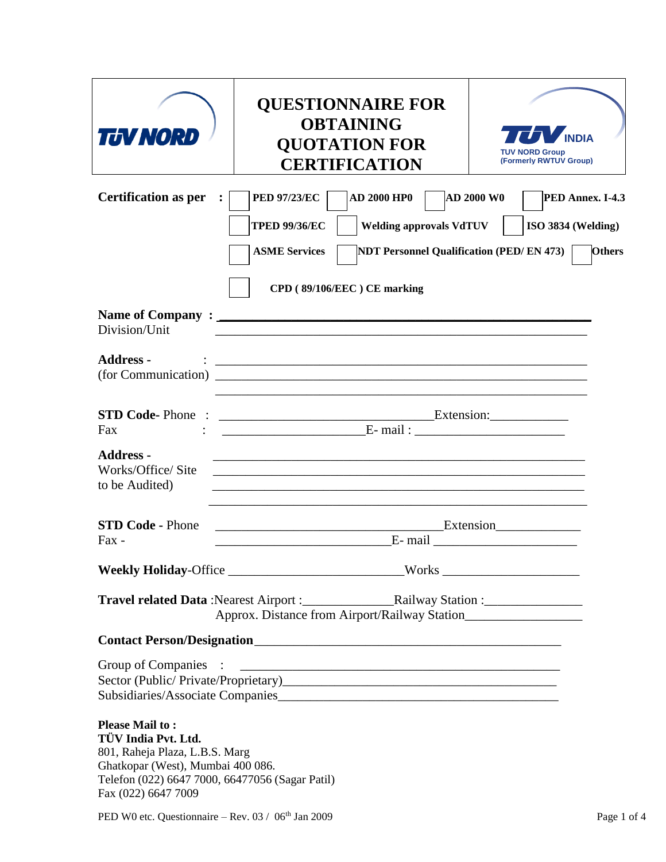| <b>TUV NORD</b>                                                                                                                                                                                | <b>QUESTIONNAIRE FOR</b><br><b>OBTAINING</b><br><b>QUOTATION FOR</b><br><b>CERTIFICATION</b>                                                                                                                                     | <b>INDIA</b><br><b>TUV NORD Group</b><br>(Formerly RWTUV Group)              |  |
|------------------------------------------------------------------------------------------------------------------------------------------------------------------------------------------------|----------------------------------------------------------------------------------------------------------------------------------------------------------------------------------------------------------------------------------|------------------------------------------------------------------------------|--|
| <b>Certification as per</b>                                                                                                                                                                    | <b>AD 2000 HP0</b><br><b>PED 97/23/EC</b><br><b>Welding approvals VdTUV</b><br><b>TPED 99/36/EC</b><br><b>ASME Services</b><br><b>NDT Personnel Qualification (PED/EN 473)</b><br>CPD (89/106/EEC) CE marking                    | <b>AD 2000 W0</b><br>PED Annex. I-4.3<br>ISO 3834 (Welding)<br><b>Others</b> |  |
| Division/Unit                                                                                                                                                                                  |                                                                                                                                                                                                                                  |                                                                              |  |
| <b>Address -</b>                                                                                                                                                                               | <u> 1999 - Johann John Stoff, deutscher Stoffen und der Stoffen und der Stoffen und der Stoffen und der Stoffen un</u>                                                                                                           |                                                                              |  |
| <b>STD Code-Phone:</b><br>Fax                                                                                                                                                                  | $\overline{\phantom{a}}$ Extension:                                                                                                                                                                                              |                                                                              |  |
| <b>Address -</b><br>Works/Office/Site<br>to be Audited)                                                                                                                                        | <u> 1989 - Johann Barn, amerikan berkemaan berkemaan berkemaan berkemaan berkemaan berkemaan berkemaan berkemaan</u>                                                                                                             |                                                                              |  |
| <b>STD Code - Phone</b><br>Fax -                                                                                                                                                               |                                                                                                                                                                                                                                  | Extension                                                                    |  |
|                                                                                                                                                                                                | Weekly Holiday-Office ______________________________Works ______________________                                                                                                                                                 |                                                                              |  |
|                                                                                                                                                                                                |                                                                                                                                                                                                                                  |                                                                              |  |
|                                                                                                                                                                                                | <b>Contact Person/Designation</b>                                                                                                                                                                                                |                                                                              |  |
| Group of Companies                                                                                                                                                                             | $\ddotsc$ . The continuum continuum continuum continuum continuum continuum continuum continuum continuum continuum continuum continuum continuum continuum continuum continuum continuum continuum continuum continuum continuu |                                                                              |  |
| <b>Please Mail to:</b><br>TÜV India Pvt. Ltd.<br>801, Raheja Plaza, L.B.S. Marg<br>Ghatkopar (West), Mumbai 400 086.<br>Telefon (022) 6647 7000, 66477056 (Sagar Patil)<br>Fax (022) 6647 7009 |                                                                                                                                                                                                                                  |                                                                              |  |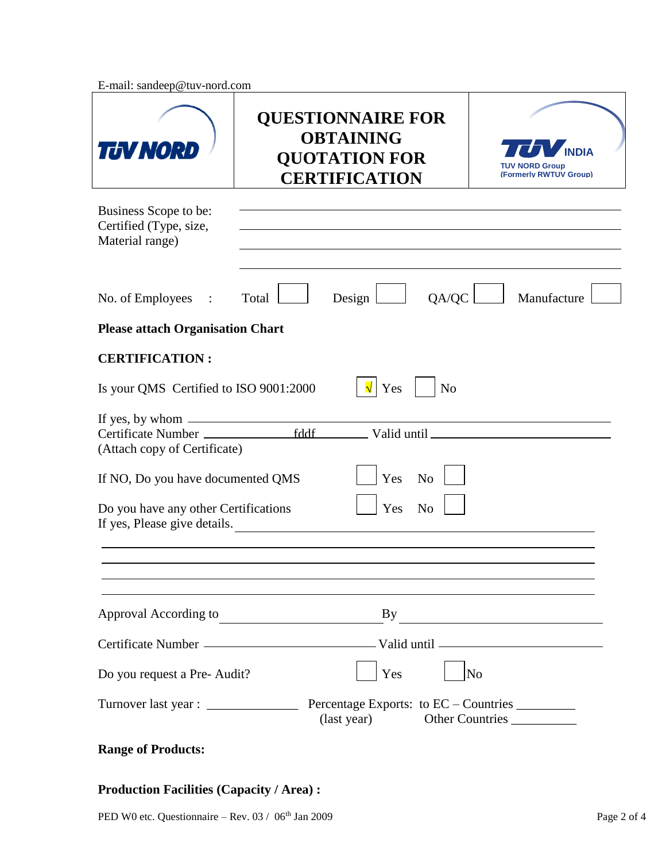E-mail: sandeep@tuv-nord.com

| <b>TUV NORD</b>                                                                                                    | <b>QUESTIONNAIRE FOR</b><br><b>OBTAINING</b><br><b>QUOTATION FOR</b><br><b>CERTIFICATION</b> |                | <b>TUV NORD Group</b><br>(Formerly RWTUV Group)                    |
|--------------------------------------------------------------------------------------------------------------------|----------------------------------------------------------------------------------------------|----------------|--------------------------------------------------------------------|
| Business Scope to be:<br>Certified (Type, size,<br>Material range)                                                 |                                                                                              |                |                                                                    |
| No. of Employees :<br><b>Please attach Organisation Chart</b>                                                      | Design<br>Total                                                                              | QA/QC          | Manufacture                                                        |
| <b>CERTIFICATION:</b>                                                                                              |                                                                                              |                |                                                                    |
| Is your QMS Certified to ISO 9001:2000                                                                             | Yes                                                                                          | N <sub>o</sub> |                                                                    |
| If yes, by whom $\_\_\_\_\_\_\_\_\_\_\_\_\_\_\_\_\_\_\_\_\_\_\_\_\_\_\_\_\_\_\_\_$<br>(Attach copy of Certificate) | _ Valid until _                                                                              |                |                                                                    |
| If NO, Do you have documented QMS                                                                                  | Yes                                                                                          | N <sub>o</sub> |                                                                    |
| Do you have any other Certifications<br>If yes, Please give details.                                               | Yes                                                                                          | N <sub>o</sub> |                                                                    |
|                                                                                                                    |                                                                                              |                |                                                                    |
| Approval According to                                                                                              | By<br><u> 1980 - Johann Barbara, martxa amerikan per</u>                                     |                |                                                                    |
|                                                                                                                    |                                                                                              |                |                                                                    |
| Do you request a Pre-Audit?                                                                                        | Yes                                                                                          |                | N <sub>o</sub>                                                     |
|                                                                                                                    | (last year)                                                                                  |                | Percentage Exports: to EC – Countries _________<br>Other Countries |

## **Range of Products:**

## **Production Facilities (Capacity / Area) :**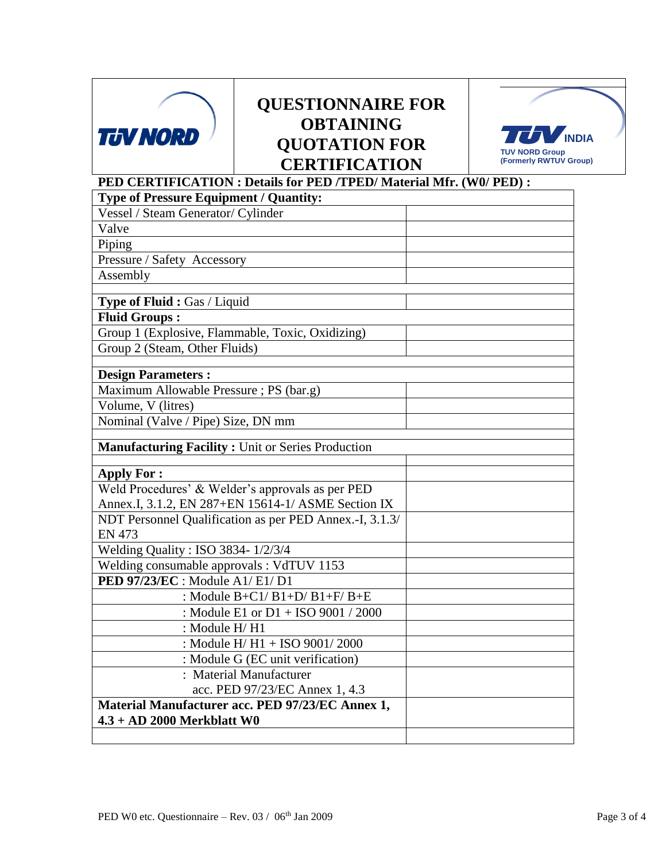

## **QUESTIONNAIRE FOR OBTAINING QUOTATION FOR CERTIFICATION**



|                                                          | <b>CERTIFICATION</b>                                                 | (Formerly RWTUV |
|----------------------------------------------------------|----------------------------------------------------------------------|-----------------|
|                                                          | PED CERTIFICATION : Details for PED /TPED/ Material Mfr. (W0/ PED) : |                 |
| <b>Type of Pressure Equipment / Quantity:</b>            |                                                                      |                 |
| Vessel / Steam Generator/ Cylinder                       |                                                                      |                 |
| Valve                                                    |                                                                      |                 |
| Piping                                                   |                                                                      |                 |
| Pressure / Safety Accessory                              |                                                                      |                 |
| Assembly                                                 |                                                                      |                 |
|                                                          |                                                                      |                 |
| Type of Fluid: Gas / Liquid                              |                                                                      |                 |
| <b>Fluid Groups:</b>                                     |                                                                      |                 |
| Group 1 (Explosive, Flammable, Toxic, Oxidizing)         |                                                                      |                 |
| Group 2 (Steam, Other Fluids)                            |                                                                      |                 |
| <b>Design Parameters:</b>                                |                                                                      |                 |
| Maximum Allowable Pressure; PS (bar.g)                   |                                                                      |                 |
| Volume, V (litres)                                       |                                                                      |                 |
| Nominal (Valve / Pipe) Size, DN mm                       |                                                                      |                 |
|                                                          |                                                                      |                 |
| <b>Manufacturing Facility: Unit or Series Production</b> |                                                                      |                 |
|                                                          |                                                                      |                 |
| <b>Apply For:</b>                                        |                                                                      |                 |
|                                                          | Weld Procedures' & Welder's approvals as per PED                     |                 |
|                                                          | Annex.I, 3.1.2, EN 287+EN 15614-1/ ASME Section IX                   |                 |
|                                                          | NDT Personnel Qualification as per PED Annex.-I, 3.1.3/              |                 |
| <b>EN 473</b>                                            |                                                                      |                 |
| Welding Quality : ISO 3834- 1/2/3/4                      |                                                                      |                 |
| Welding consumable approvals : VdTUV 1153                |                                                                      |                 |
| PED 97/23/EC : Module A1/ E1/ D1                         |                                                                      |                 |
|                                                          | : Module $B+C1/B1+D/B1+F/B+E$                                        |                 |
|                                                          | : Module E1 or D1 + ISO 9001 / 2000                                  |                 |
| : Module H/H1                                            |                                                                      |                 |
|                                                          | : Module H/ H1 + ISO 9001/2000                                       |                 |
|                                                          | : Module G (EC unit verification)                                    |                 |
|                                                          | : Material Manufacturer                                              |                 |
|                                                          | acc. PED 97/23/EC Annex 1, 4.3                                       |                 |
|                                                          | Material Manufacturer acc. PED 97/23/EC Annex 1,                     |                 |
| $4.3 + AD$ 2000 Merkblatt W0                             |                                                                      |                 |
|                                                          |                                                                      |                 |